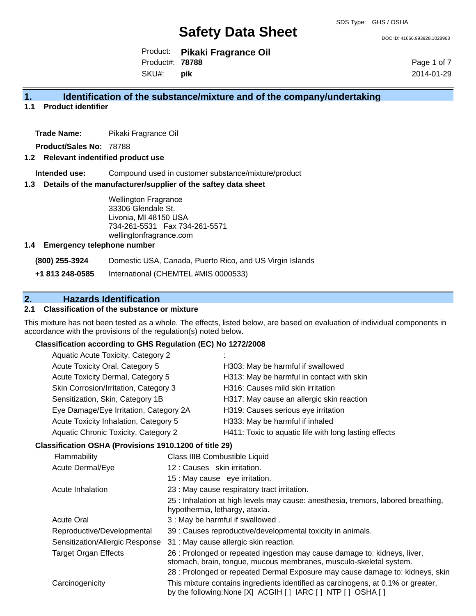DOC ID: 41666.993928.1028963

Product: **Pikaki Fragrance Oil** SKU#: Product#: **78788 pik**

Page 1 of 7 2014-01-29

#### **1. Identification of the substance/mixture and of the company/undertaking**

#### **1.1 Product identifier**

**Trade Name:** Pikaki Fragrance Oil

**Product/Sales No:** 78788

#### **1.2 Relevant indentified product use**

**Intended use:** Compound used in customer substance/mixture/product

#### **1.3 Details of the manufacturer/supplier of the saftey data sheet**

Wellington Fragrance 33306 Glendale St. Livonia, MI 48150 USA 734-261-5531 Fax 734-261-5571 wellingtonfragrance.com

#### **1.4 Emergency telephone number**

**(800) 255-3924** Domestic USA, Canada, Puerto Rico, and US Virgin Islands

**+1 813 248-0585** International (CHEMTEL #MIS 0000533)

## **2. Hazards Identification**

#### **2.1 Classification of the substance or mixture**

This mixture has not been tested as a whole. The effects, listed below, are based on evaluation of individual components in accordance with the provisions of the regulation(s) noted below.

#### **Classification according to GHS Regulation (EC) No 1272/2008**

|  | <b>Aquatic Acute Toxicity, Category 2</b>                            |                                |                                                                                                                                                 |
|--|----------------------------------------------------------------------|--------------------------------|-------------------------------------------------------------------------------------------------------------------------------------------------|
|  | Acute Toxicity Oral, Category 5<br>Acute Toxicity Dermal, Category 5 |                                | H303: May be harmful if swallowed                                                                                                               |
|  |                                                                      |                                | H313: May be harmful in contact with skin                                                                                                       |
|  | Skin Corrosion/Irritation, Category 3                                |                                | H316: Causes mild skin irritation                                                                                                               |
|  | Sensitization, Skin, Category 1B                                     |                                | H317: May cause an allergic skin reaction                                                                                                       |
|  | Eye Damage/Eye Irritation, Category 2A                               |                                | H319: Causes serious eye irritation                                                                                                             |
|  | Acute Toxicity Inhalation, Category 5                                |                                | H333: May be harmful if inhaled                                                                                                                 |
|  | Aquatic Chronic Toxicity, Category 2                                 |                                | H411: Toxic to aquatic life with long lasting effects                                                                                           |
|  | Classification OSHA (Provisions 1910.1200 of title 29)               |                                |                                                                                                                                                 |
|  | Flammability                                                         |                                | Class IIIB Combustible Liquid                                                                                                                   |
|  | Acute Dermal/Eye                                                     | 12 : Causes skin irritation.   |                                                                                                                                                 |
|  |                                                                      | 15 : May cause eye irritation. |                                                                                                                                                 |
|  | Acute Inhalation                                                     |                                | 23 : May cause respiratory tract irritation.                                                                                                    |
|  |                                                                      | hypothermia, lethargy, ataxia. | 25 : Inhalation at high levels may cause: anesthesia, tremors, labored breathing,                                                               |
|  | <b>Acute Oral</b>                                                    |                                | 3 : May be harmful if swallowed.                                                                                                                |
|  | Reproductive/Developmental                                           |                                | 39 : Causes reproductive/developmental toxicity in animals.                                                                                     |
|  | Sensitization/Allergic Response                                      |                                | 31 : May cause allergic skin reaction.                                                                                                          |
|  | <b>Target Organ Effects</b>                                          |                                | 26 : Prolonged or repeated ingestion may cause damage to: kidneys, liver,<br>stomach, brain, tongue, mucous membranes, musculo-skeletal system. |
|  |                                                                      |                                | 28 : Prolonged or repeated Dermal Exposure may cause damage to: kidneys, skin                                                                   |
|  | Carcinogenicity                                                      |                                | This mixture contains ingredients identified as carcinogens, at 0.1% or greater,<br>by the following:None [X] ACGIH [] IARC [] NTP [] OSHA []   |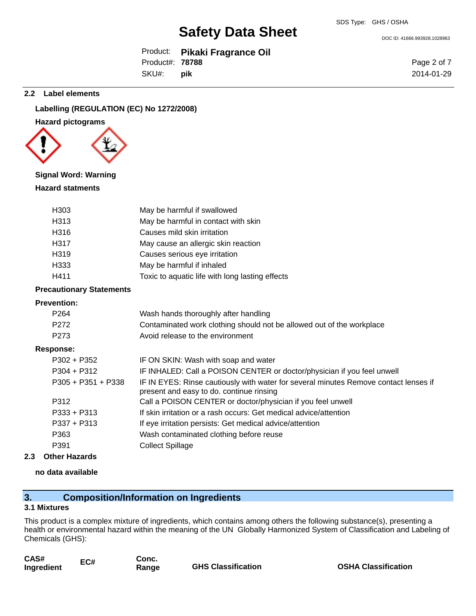DOC ID: 41666.993928.1028963

Product: **Pikaki Fragrance Oil** SKU#: Product#: **78788 pik**

Page 2 of 7 2014-01-29

#### **2.2 Label elements**

#### **Labelling (REGULATION (EC) No 1272/2008)**

#### **Hazard pictograms**



#### **Signal Word: Warning**

#### **Hazard statments**

| H <sub>303</sub> | May be harmful if swallowed                     |
|------------------|-------------------------------------------------|
| H313             | May be harmful in contact with skin             |
| H316             | Causes mild skin irritation                     |
| H317             | May cause an allergic skin reaction             |
| H319             | Causes serious eye irritation                   |
| H333             | May be harmful if inhaled                       |
| H411             | Toxic to aquatic life with long lasting effects |

#### **Precautionary Statements**

#### **Prevention:**

| LICACIINOII.         |                                                                                                                                  |
|----------------------|----------------------------------------------------------------------------------------------------------------------------------|
| P <sub>264</sub>     | Wash hands thoroughly after handling                                                                                             |
| P <sub>272</sub>     | Contaminated work clothing should not be allowed out of the workplace                                                            |
| P273                 | Avoid release to the environment                                                                                                 |
| Response:            |                                                                                                                                  |
| $P302 + P352$        | IF ON SKIN: Wash with soap and water                                                                                             |
| $P304 + P312$        | IF INHALED: Call a POISON CENTER or doctor/physician if you feel unwell                                                          |
| $P305 + P351 + P338$ | IF IN EYES: Rinse cautiously with water for several minutes Remove contact lenses if<br>present and easy to do. continue rinsing |
| P312                 | Call a POISON CENTER or doctor/physician if you feel unwell                                                                      |
| $P333 + P313$        | If skin irritation or a rash occurs: Get medical advice/attention                                                                |
| $P337 + P313$        | If eye irritation persists: Get medical advice/attention                                                                         |
| P363                 | Wash contaminated clothing before reuse                                                                                          |
| P391                 | <b>Collect Spillage</b>                                                                                                          |
|                      |                                                                                                                                  |

#### **2.3 Other Hazards**

#### **no data available**

## **3. Composition/Information on Ingredients**

#### **3.1 Mixtures**

This product is a complex mixture of ingredients, which contains among others the following substance(s), presenting a health or environmental hazard within the meaning of the UN Globally Harmonized System of Classification and Labeling of Chemicals (GHS):

| CAS#<br>Ingredient | EC# | Conc.<br>Range | <b>GHS Classification</b> |
|--------------------|-----|----------------|---------------------------|
|                    |     |                |                           |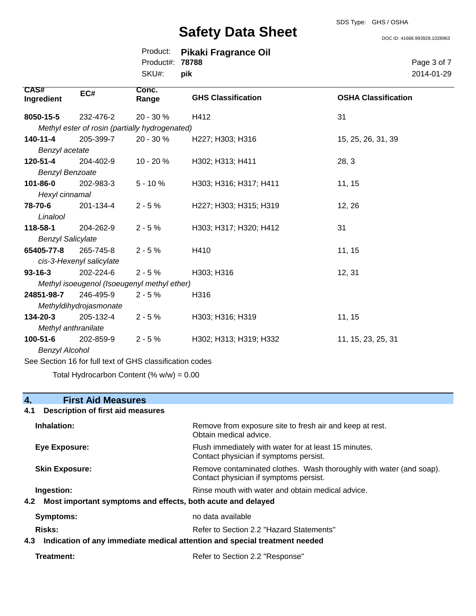#### SDS Type: GHS / OSHA

# **Safety Data Sheet**

DOC ID: 41666.993928.1028963

|                        | Product: Pikaki Fragrance Oil |
|------------------------|-------------------------------|
| Product#: <b>78788</b> |                               |
| SKU#: <b>pik</b>       |                               |

Page 3 of 7 2014-01-29

| <b>CAS#</b><br>Ingredient                                | EC#                      | Conc.<br>Range                                 | <b>GHS Classification</b> | <b>OSHA Classification</b> |  |
|----------------------------------------------------------|--------------------------|------------------------------------------------|---------------------------|----------------------------|--|
| 8050-15-5                                                | 232-476-2                | 20 - 30 %                                      | H412                      | 31                         |  |
|                                                          |                          | Methyl ester of rosin (partially hydrogenated) |                           |                            |  |
| 140-11-4                                                 | 205-399-7                | $20 - 30 \%$                                   | H227; H303; H316          | 15, 25, 26, 31, 39         |  |
| Benzyl acetate                                           |                          |                                                |                           |                            |  |
| 120-51-4                                                 | 204-402-9                | $10 - 20%$                                     | H302; H313; H411          | 28, 3                      |  |
| <b>Benzyl Benzoate</b>                                   |                          |                                                |                           |                            |  |
| 101-86-0                                                 | 202-983-3                | $5 - 10%$                                      | H303; H316; H317; H411    | 11, 15                     |  |
| Hexyl cinnamal                                           |                          |                                                |                           |                            |  |
| 78-70-6                                                  | 201-134-4                | $2 - 5%$                                       | H227; H303; H315; H319    | 12, 26                     |  |
| Linalool                                                 |                          |                                                |                           |                            |  |
| 118-58-1                                                 | 204-262-9                | $2 - 5%$                                       | H303; H317; H320; H412    | 31                         |  |
| <b>Benzyl Salicylate</b>                                 |                          |                                                |                           |                            |  |
| 65405-77-8                                               | 265-745-8                | $2 - 5%$                                       | H410                      | 11, 15                     |  |
|                                                          | cis-3-Hexenyl salicylate |                                                |                           |                            |  |
| $93 - 16 - 3$                                            | 202-224-6                | $2 - 5%$                                       | H303; H316                | 12, 31                     |  |
|                                                          |                          | Methyl isoeugenol (Isoeugenyl methyl ether)    |                           |                            |  |
| 24851-98-7                                               | 246-495-9                | $2 - 5%$                                       | H316                      |                            |  |
|                                                          | Methyldihydrojasmonate   |                                                |                           |                            |  |
| 134-20-3                                                 | 205-132-4                | $2 - 5%$                                       | H303; H316; H319          | 11, 15                     |  |
| Methyl anthranilate                                      |                          |                                                |                           |                            |  |
| $100 - 51 - 6$                                           | 202-859-9                | $2 - 5%$                                       | H302; H313; H319; H332    | 11, 15, 23, 25, 31         |  |
|                                                          | <b>Benzyl Alcohol</b>    |                                                |                           |                            |  |
| See Section 16 for full text of GHS classification codes |                          |                                                |                           |                            |  |

Total Hydrocarbon Content (% w/w) = 0.00

## **4. First Aid Measures**

#### **4.1 Description of first aid measures**

| Inhalation:                                                                       | Remove from exposure site to fresh air and keep at rest.<br>Obtain medical advice.                            |
|-----------------------------------------------------------------------------------|---------------------------------------------------------------------------------------------------------------|
| Eye Exposure:                                                                     | Flush immediately with water for at least 15 minutes.<br>Contact physician if symptoms persist.               |
| <b>Skin Exposure:</b>                                                             | Remove contaminated clothes. Wash thoroughly with water (and soap).<br>Contact physician if symptoms persist. |
| Ingestion:                                                                        | Rinse mouth with water and obtain medical advice.                                                             |
| 4.2 Most important symptoms and effects, both acute and delayed                   |                                                                                                               |
| <b>Symptoms:</b>                                                                  | no data available                                                                                             |
| Risks:                                                                            | Refer to Section 2.2 "Hazard Statements"                                                                      |
| Indication of any immediate medical attention and special treatment needed<br>4.3 |                                                                                                               |

| Treatment: | Refer to Section 2.2 "Response" |
|------------|---------------------------------|
|------------|---------------------------------|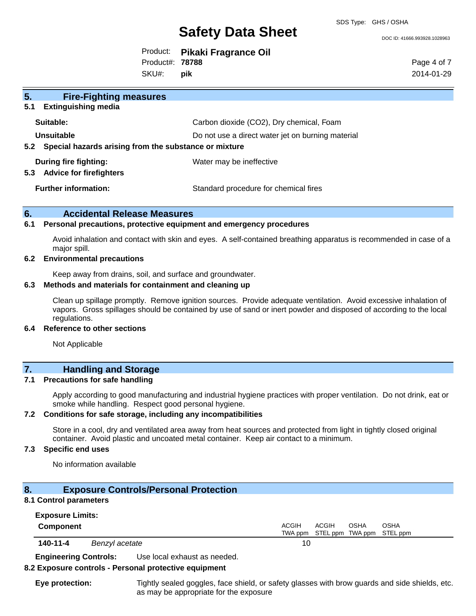SDS Type: GHS / OSHA

#### DOC ID: 41666.993928.1028963

Product: **Pikaki Fragrance Oil** SKU#: Product#: **78788 pik**

Page 4 of 7 2014-01-29

| 5.<br><b>Fire-Fighting measures</b>                            |                                                   |
|----------------------------------------------------------------|---------------------------------------------------|
| 5.1<br><b>Extinguishing media</b>                              |                                                   |
| Suitable:                                                      | Carbon dioxide (CO2), Dry chemical, Foam          |
| Unsuitable                                                     | Do not use a direct water jet on burning material |
| 5.2 Special hazards arising from the substance or mixture      |                                                   |
| During fire fighting:<br>5.3<br><b>Advice for firefighters</b> | Water may be ineffective                          |
| <b>Further information:</b>                                    | Standard procedure for chemical fires             |

#### **6. Accidental Release Measures**

#### **6.1 Personal precautions, protective equipment and emergency procedures**

Avoid inhalation and contact with skin and eyes. A self-contained breathing apparatus is recommended in case of a major spill.

#### **6.2 Environmental precautions**

Keep away from drains, soil, and surface and groundwater.

#### **6.3 Methods and materials for containment and cleaning up**

Clean up spillage promptly. Remove ignition sources. Provide adequate ventilation. Avoid excessive inhalation of vapors. Gross spillages should be contained by use of sand or inert powder and disposed of according to the local regulations.

#### **6.4 Reference to other sections**

Not Applicable

#### **7. Handling and Storage**

#### **7.1 Precautions for safe handling**

Apply according to good manufacturing and industrial hygiene practices with proper ventilation. Do not drink, eat or smoke while handling. Respect good personal hygiene.

#### **7.2 Conditions for safe storage, including any incompatibilities**

Store in a cool, dry and ventilated area away from heat sources and protected from light in tightly closed original container. Avoid plastic and uncoated metal container. Keep air contact to a minimum.

#### **7.3 Specific end uses**

No information available

### **8. Exposure Controls/Personal Protection**

#### **8.1 Control parameters**

| <b>Exposure Limits:</b> |                |                                                                            |
|-------------------------|----------------|----------------------------------------------------------------------------|
| Component               |                | ACGIH<br>ACGIH<br><b>OSHA</b><br>OSHA<br>TWA ppm STEL ppm TWA ppm STEL ppm |
| 140-11-4                | Benzyl acetate | 10                                                                         |

**Engineering Controls:** Use local exhaust as needed.

#### **8.2 Exposure controls - Personal protective equipment**

**Eye protection:** Tightly sealed goggles, face shield, or safety glasses with brow guards and side shields, etc. as may be appropriate for the exposure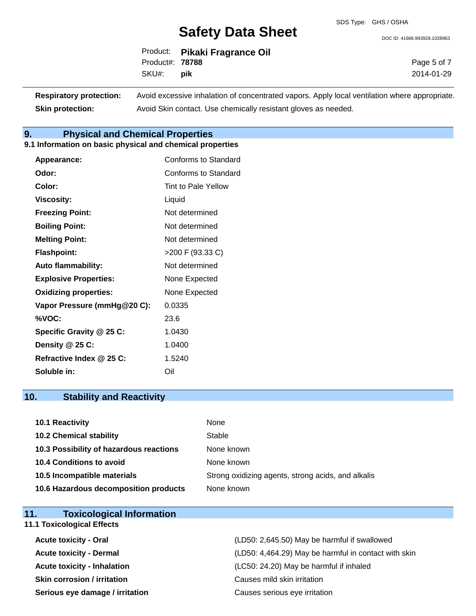DOC ID: 41666.993928.1028963

|                        | Product: Pikaki Fragrance Oil |
|------------------------|-------------------------------|
| Product#: <b>78788</b> |                               |
| SKU#: <b>pik</b>       |                               |

Page 5 of 7 2014-01-29

| <b>Respiratory protection:</b> | Avoid excessive inhalation of concentrated vapors. Apply local ventilation where appropriate. |
|--------------------------------|-----------------------------------------------------------------------------------------------|
| <b>Skin protection:</b>        | Avoid Skin contact. Use chemically resistant gloves as needed.                                |

#### **9. Physical and Chemical Properties**

#### **9.1 Information on basic physical and chemical properties**

| <b>Appearance:</b>           | Conforms to Standard       |
|------------------------------|----------------------------|
| Odor:                        | Conforms to Standard       |
| Color:                       | <b>Tint to Pale Yellow</b> |
| <b>Viscosity:</b>            | Liquid                     |
| <b>Freezing Point:</b>       | Not determined             |
| <b>Boiling Point:</b>        | Not determined             |
| <b>Melting Point:</b>        | Not determined             |
| <b>Flashpoint:</b>           | $>200$ F (93.33 C)         |
| <b>Auto flammability:</b>    | Not determined             |
| <b>Explosive Properties:</b> | None Expected              |
| <b>Oxidizing properties:</b> | None Expected              |
| Vapor Pressure (mmHg@20 C):  | 0.0335                     |
| %VOC:                        | 23.6                       |
| Specific Gravity @ 25 C:     | 1.0430                     |
| Density @ 25 C:              | 1.0400                     |
| Refractive Index @ 25 C:     | 1.5240                     |
| Soluble in:                  | Oil                        |

## **10. Stability and Reactivity**

| 10.1 Reactivity                         | None                                               |
|-----------------------------------------|----------------------------------------------------|
| <b>10.2 Chemical stability</b>          | Stable                                             |
| 10.3 Possibility of hazardous reactions | None known                                         |
| 10.4 Conditions to avoid                | None known                                         |
| 10.5 Incompatible materials             | Strong oxidizing agents, strong acids, and alkalis |
| 10.6 Hazardous decomposition products   | None known                                         |

| 11.<br><b>Toxicological Information</b> |                                                      |
|-----------------------------------------|------------------------------------------------------|
| <b>11.1 Toxicological Effects</b>       |                                                      |
| <b>Acute toxicity - Oral</b>            | (LD50: 2,645.50) May be harmful if swallowed         |
| <b>Acute toxicity - Dermal</b>          | (LD50: 4,464.29) May be harmful in contact with skin |
| <b>Acute toxicity - Inhalation</b>      | (LC50: 24.20) May be harmful if inhaled              |
| <b>Skin corrosion / irritation</b>      | Causes mild skin irritation                          |
| Serious eye damage / irritation         | Causes serious eye irritation                        |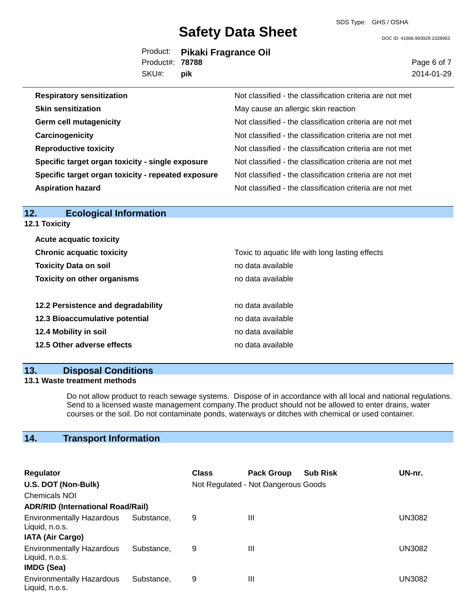SDS Type: GHS / OSHA

DOC ID: 41666.993928.1028963

|                        | Product: Pikaki Fragrance Oil |
|------------------------|-------------------------------|
| Product#: <b>78788</b> |                               |
| SKU#: <b>pik</b>       |                               |

Page 6 of 7 2014-01-29

| <b>Respiratory sensitization</b>                   | Not classified - the classification criteria are not met |
|----------------------------------------------------|----------------------------------------------------------|
| <b>Skin sensitization</b>                          | May cause an allergic skin reaction                      |
| <b>Germ cell mutagenicity</b>                      | Not classified - the classification criteria are not met |
| Carcinogenicity                                    | Not classified - the classification criteria are not met |
| <b>Reproductive toxicity</b>                       | Not classified - the classification criteria are not met |
| Specific target organ toxicity - single exposure   | Not classified - the classification criteria are not met |
| Specific target organ toxicity - repeated exposure | Not classified - the classification criteria are not met |
| <b>Aspiration hazard</b>                           | Not classified - the classification criteria are not met |

| <b>Ecological Information</b><br>12. |                                                 |
|--------------------------------------|-------------------------------------------------|
| <b>12.1 Toxicity</b>                 |                                                 |
| <b>Acute acquatic toxicity</b>       |                                                 |
| <b>Chronic acquatic toxicity</b>     | Toxic to aquatic life with long lasting effects |
| <b>Toxicity Data on soil</b>         | no data available                               |
| <b>Toxicity on other organisms</b>   | no data available                               |
|                                      |                                                 |
| 12.2 Persistence and degradability   | no data available                               |
| 12.3 Bioaccumulative potential       | no data available                               |
| 12.4 Mobility in soil                | no data available                               |
| 12.5 Other adverse effects           | no data available                               |
|                                      |                                                 |

#### **13. Disposal Conditions**

#### **13.1 Waste treatment methods**

Do not allow product to reach sewage systems. Dispose of in accordance with all local and national regulations. Send to a licensed waste management company.The product should not be allowed to enter drains, water courses or the soil. Do not contaminate ponds, waterways or ditches with chemical or used container.

## **14. Transport Information**

| Regulator                                                                     |            | <b>Class</b>                        | <b>Pack Group</b> | <b>Sub Risk</b> | UN-nr. |
|-------------------------------------------------------------------------------|------------|-------------------------------------|-------------------|-----------------|--------|
| U.S. DOT (Non-Bulk)                                                           |            | Not Regulated - Not Dangerous Goods |                   |                 |        |
| <b>Chemicals NOI</b>                                                          |            |                                     |                   |                 |        |
| <b>ADR/RID (International Road/Rail)</b>                                      |            |                                     |                   |                 |        |
| <b>Environmentally Hazardous</b><br>Liquid, n.o.s.<br><b>IATA (Air Cargo)</b> | Substance. | 9                                   | Ш                 |                 | UN3082 |
| <b>Environmentally Hazardous</b><br>Liquid, n.o.s.<br>IMDG (Sea)              | Substance. | 9                                   | Ш                 |                 | UN3082 |
| <b>Environmentally Hazardous</b><br>Liquid, n.o.s.                            | Substance, | 9                                   | Ш                 |                 | UN3082 |